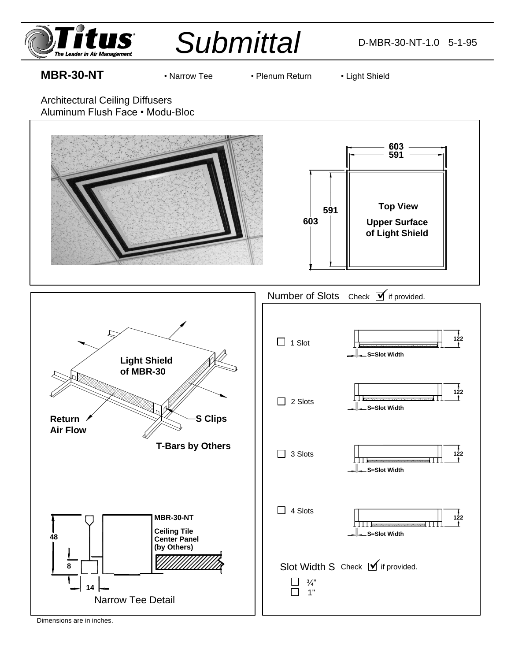



## **MBR-30-NT** • Narrow Tee • Plenum Return • Light Shield

- 
- 

Architectural Ceiling Diffusers Aluminum Flush Face • Modu-Bloc



Dimensions are in inches.